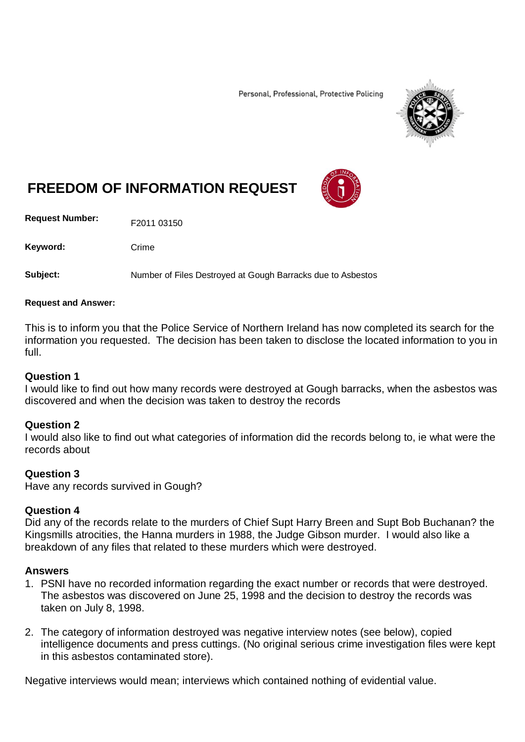Personal, Professional, Protective Policing



# **FREEDOM OF INFORMATION REQUEST**

**Request Number:** F2011 03150

Keyword: Crime

**Subject:** Number of Files Destroyed at Gough Barracks due to Asbestos

#### **Request and Answer:**

This is to inform you that the Police Service of Northern Ireland has now completed its search for the information you requested. The decision has been taken to disclose the located information to you in full.

#### **Question 1**

I would like to find out how many records were destroyed at Gough barracks, when the asbestos was discovered and when the decision was taken to destroy the records

## **Question 2**

I would also like to find out what categories of information did the records belong to, ie what were the records about

## **Question 3**

Have any records survived in Gough?

## **Question 4**

Did any of the records relate to the murders of Chief Supt Harry Breen and Supt Bob Buchanan? the Kingsmills atrocities, the Hanna murders in 1988, the Judge Gibson murder. I would also like a breakdown of any files that related to these murders which were destroyed.

## **Answers**

- 1. PSNI have no recorded information regarding the exact number or records that were destroyed. The asbestos was discovered on June 25, 1998 and the decision to destroy the records was taken on July 8, 1998.
- 2. The category of information destroyed was negative interview notes (see below), copied intelligence documents and press cuttings. (No original serious crime investigation files were kept in this asbestos contaminated store).

Negative interviews would mean; interviews which contained nothing of evidential value.